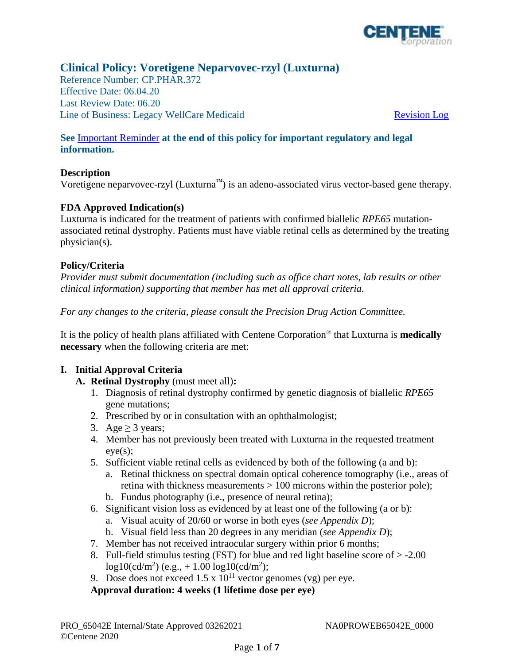

# **Clinical Policy: Voretigene Neparvovec-rzyl (Luxturna)**

Reference Number: CP.PHAR.372 Effective Date: 06.04.20 Last Review Date: 06.20 Line of Business: Legacy WellCare Medicaid Revision Log

## **See** [Important Reminder](#page-5-0) **at the end of this policy for important regulatory and legal information.**

## **Description**

Voretigene neparvovec-rzyl (Luxturna<sup> $\mathbf{w}$ </sup>) is an adeno-associated virus vector-based gene therapy.

## **FDA Approved Indication(s)**

Luxturna is indicated for the treatment of patients with confirmed biallelic *RPE65* mutationassociated retinal dystrophy. Patients must have viable retinal cells as determined by the treating physician(s).

## **Policy/Criteria**

*Provider must submit documentation (including such as office chart notes, lab results or other clinical information) supporting that member has met all approval criteria.* 

*For any changes to the criteria, please consult the Precision Drug Action Committee.* 

It is the policy of health plans affiliated with Centene Corporation® that Luxturna is **medically necessary** when the following criteria are met:

## **I. Initial Approval Criteria**

- **A. Retinal Dystrophy** (must meet all)**:** 
	- 1. Diagnosis of retinal dystrophy confirmed by genetic diagnosis of biallelic *RPE65*  gene mutations;
	- 2. Prescribed by or in consultation with an ophthalmologist;
	- 3. Age  $>$  3 years;
	- 4. Member has not previously been treated with Luxturna in the requested treatment  $e$ ve $(s)$ :
	- 5. Sufficient viable retinal cells as evidenced by both of the following (a and b):
		- a. Retinal thickness on spectral domain optical coherence tomography (i.e., areas of retina with thickness measurements  $> 100$  microns within the posterior pole);
		- b. Fundus photography (i.e., presence of neural retina);
	- 6. Significant vision loss as evidenced by at least one of the following (a or b):
		- a. Visual acuity of 20/60 or worse in both eyes (*see Appendix D*);
		- b. Visual field less than 20 degrees in any meridian (*see Appendix D*);
	- 7. Member has not received intraocular surgery within prior 6 months;
	- 8. Full-field stimulus testing (FST) for blue and red light baseline score of  $> -2.00$  $log 10 (cd/m^2)$  (e.g., + 1.00  $log 10 (cd/m^2)$ ;
	- 9. Dose does not exceed  $1.5 \times 10^{11}$  vector genomes (vg) per eye.

## **Approval duration: 4 weeks (1 lifetime dose per eye)**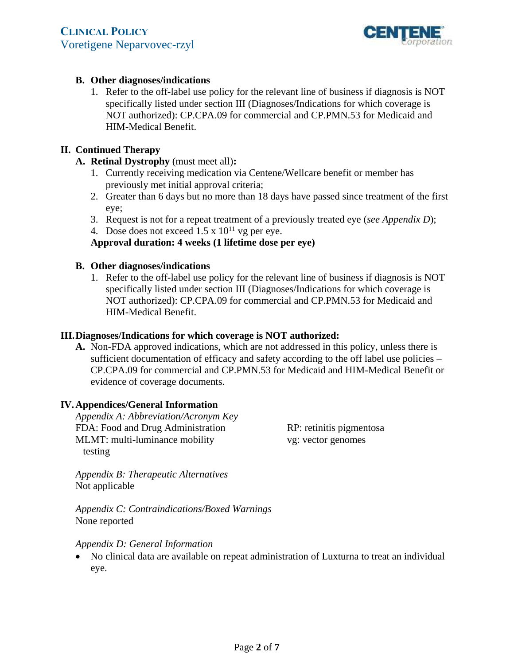

## **B. Other diagnoses/indications**

1. Refer to the off-label use policy for the relevant line of business if diagnosis is NOT specifically listed under section III (Diagnoses/Indications for which coverage is NOT authorized): CP.CPA.09 for commercial and CP.PMN.53 for Medicaid and HIM-Medical Benefit.

## **II. Continued Therapy**

- **A. Retinal Dystrophy** (must meet all)**:** 
	- 1. Currently receiving medication via Centene/Wellcare benefit or member has previously met initial approval criteria;
	- 2. Greater than 6 days but no more than 18 days have passed since treatment of the first eye;
	- 3. Request is not for a repeat treatment of a previously treated eye (*see Appendix D*);
	- 4. Dose does not exceed  $1.5 \times 10^{11}$  vg per eye.

## **Approval duration: 4 weeks (1 lifetime dose per eye)**

## **B. Other diagnoses/indications**

1. Refer to the off-label use policy for the relevant line of business if diagnosis is NOT specifically listed under section III (Diagnoses/Indications for which coverage is NOT authorized): CP.CPA.09 for commercial and CP.PMN.53 for Medicaid and HIM-Medical Benefit.

## **III.Diagnoses/Indications for which coverage is NOT authorized:**

**A.** Non-FDA approved indications, which are not addressed in this policy, unless there is sufficient documentation of efficacy and safety according to the off label use policies – CP.CPA.09 for commercial and CP.PMN.53 for Medicaid and HIM-Medical Benefit or evidence of coverage documents.

## **IV.Appendices/General Information**

*Appendix A: Abbreviation/Acronym Key* FDA: Food and Drug Administration MLMT: multi-luminance mobility testing

RP: retinitis pigmentosa vg: vector genomes

*Appendix B: Therapeutic Alternatives*  Not applicable

*Appendix C: Contraindications/Boxed Warnings*  None reported

#### *Appendix D: General Information*

 No clinical data are available on repeat administration of Luxturna to treat an individual eye.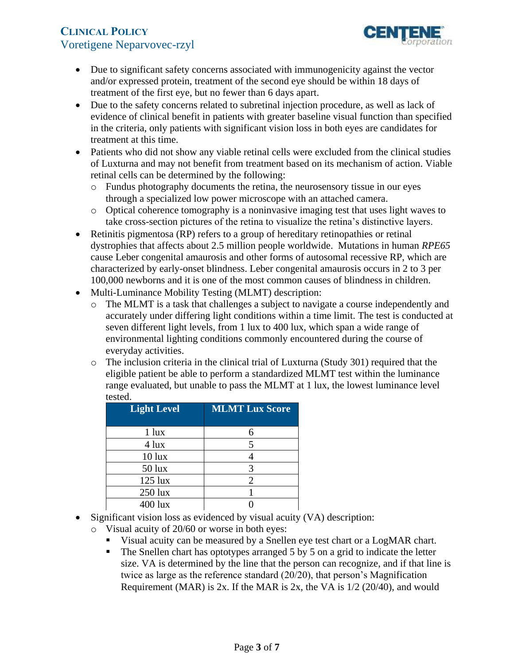

- Due to significant safety concerns associated with immunogenicity against the vector and/or expressed protein, treatment of the second eye should be within 18 days of treatment of the first eye, but no fewer than 6 days apart.
- Due to the safety concerns related to subretinal injection procedure, as well as lack of evidence of clinical benefit in patients with greater baseline visual function than specified in the criteria, only patients with significant vision loss in both eyes are candidates for treatment at this time.
- Patients who did not show any viable retinal cells were excluded from the clinical studies of Luxturna and may not benefit from treatment based on its mechanism of action. Viable retinal cells can be determined by the following:
	- $\circ$  Fundus photography documents the retina, the neurosensory tissue in our eyes through a specialized low power microscope with an attached camera.
	- o Optical coherence tomography is a noninvasive imaging test that uses light waves to take cross-section pictures of the retina to visualize the retina's distinctive layers.
- Retinitis pigmentosa (RP) refers to a group of hereditary retinopathies or retinal dystrophies that affects about 2.5 million people worldwide. Mutations in human *RPE65*  cause Leber congenital amaurosis and other forms of autosomal recessive RP, which are characterized by early-onset blindness. Leber congenital amaurosis occurs in 2 to 3 per 100,000 newborns and it is one of the most common causes of blindness in children.
- Multi-Luminance Mobility Testing (MLMT) description:
	- o The MLMT is a task that challenges a subject to navigate a course independently and accurately under differing light conditions within a time limit. The test is conducted at seven different light levels, from 1 lux to 400 lux, which span a wide range of environmental lighting conditions commonly encountered during the course of everyday activities.
	- $\circ$  The inclusion criteria in the clinical trial of Luxturna (Study 301) required that the eligible patient be able to perform a standardized MLMT test within the luminance range evaluated, but unable to pass the MLMT at 1 lux, the lowest luminance level tested.

| <b>Light Level</b> | <b>MLMT Lux Score</b> |
|--------------------|-----------------------|
| $1$ lux            |                       |
| $4$ lux            | 5                     |
| $10$ lux           |                       |
| $50$ lux           | 3                     |
| $125$ lux          | $\overline{2}$        |
| 250 lux            |                       |
| $400$ lux          |                       |

- Significant vision loss as evidenced by visual acuity (VA) description:
	- o Visual acuity of 20/60 or worse in both eyes:
		- Visual acuity can be measured by a Snellen eye test chart or a LogMAR chart.
		- $\blacksquare$  The Snellen chart has optotypes arranged 5 by 5 on a grid to indicate the letter size. VA is determined by the line that the person can recognize, and if that line is twice as large as the reference standard (20/20), that person's Magnification Requirement (MAR) is 2x. If the MAR is 2x, the VA is  $1/2$  (20/40), and would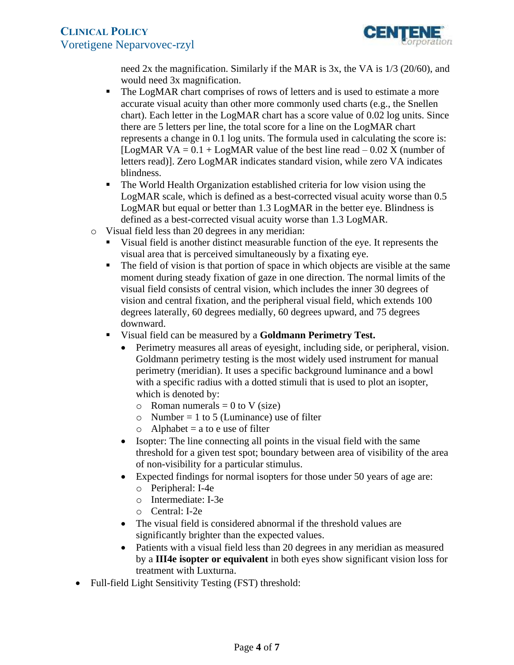

need 2x the magnification. Similarly if the MAR is 3x, the VA is 1/3 (20/60), and would need 3x magnification.

- The LogMAR chart comprises of rows of letters and is used to estimate a more accurate visual acuity than other more commonly used charts (e.g., the Snellen chart). Each letter in the LogMAR chart has a score value of 0.02 log units. Since there are 5 letters per line, the total score for a line on the LogMAR chart represents a change in 0.1 log units. The formula used in calculating the score is: [LogMAR VA =  $0.1 +$ LogMAR value of the best line read  $-0.02$  X (number of letters read)]. Zero LogMAR indicates standard vision, while zero VA indicates blindness.
- The World Health Organization established criteria for low vision using the LogMAR scale, which is defined as a best-corrected visual acuity worse than 0.5 LogMAR but equal or better than 1.3 LogMAR in the better eye. Blindness is defined as a best-corrected visual acuity worse than 1.3 LogMAR.
- o Visual field less than 20 degrees in any meridian:
	- Visual field is another distinct measurable function of the eye. It represents the visual area that is perceived simultaneously by a fixating eye.
	- The field of vision is that portion of space in which objects are visible at the same moment during steady fixation of gaze in one direction. The normal limits of the visual field consists of central vision, which includes the inner 30 degrees of vision and central fixation, and the peripheral visual field, which extends 100 degrees laterally, 60 degrees medially, 60 degrees upward, and 75 degrees downward.
	- Visual field can be measured by a **Goldmann Perimetry Test.** 
		- Perimetry measures all areas of eyesight, including side, or peripheral, vision. Goldmann perimetry testing is the most widely used instrument for manual perimetry (meridian). It uses a specific background luminance and a bowl with a specific radius with a dotted stimuli that is used to plot an isopter, which is denoted by:
			- $\circ$  Roman numerals = 0 to V (size)
			- $\circ$  Number = 1 to 5 (Luminance) use of filter
			- $\circ$  Alphabet = a to e use of filter
		- Isopter: The line connecting all points in the visual field with the same threshold for a given test spot; boundary between area of visibility of the area of non-visibility for a particular stimulus.
		- Expected findings for normal isopters for those under 50 years of age are:
			- o Peripheral: I-4e
			- o Intermediate: I-3e
			- o Central: I-2e
		- The visual field is considered abnormal if the threshold values are significantly brighter than the expected values.
		- Patients with a visual field less than 20 degrees in any meridian as measured by a **III4e isopter or equivalent** in both eyes show significant vision loss for treatment with Luxturna.
- Full-field Light Sensitivity Testing (FST) threshold: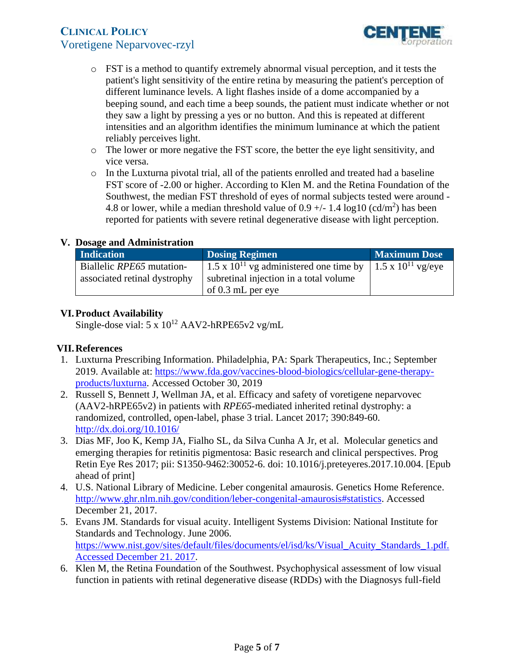

- o FST is a method to quantify extremely abnormal visual perception, and it tests the patient's light sensitivity of the entire retina by measuring the patient's perception of different luminance levels. A light flashes inside of a dome accompanied by a beeping sound, and each time a beep sounds, the patient must indicate whether or not they saw a light by pressing a yes or no button. And this is repeated at different intensities and an algorithm identifies the minimum luminance at which the patient reliably perceives light.
- o The lower or more negative the FST score, the better the eye light sensitivity, and vice versa.
- $\circ$  In the Luxturna pivotal trial, all of the patients enrolled and treated had a baseline FST score of -2.00 or higher. According to Klen M. and the Retina Foundation of the Southwest, the median FST threshold of eyes of normal subjects tested were around - 4.8 or lower, while a median threshold value of  $0.9 +/- 1.4 \log 10 \text{ (cd/m}^2)$  has been reported for patients with severe retinal degenerative disease with light perception.

## **V. Dosage and Administration**

| <b>Indication</b>            | <b>Dosing Regimen</b>                                                | <b>Maximum Dose</b> |
|------------------------------|----------------------------------------------------------------------|---------------------|
| Biallelic RPE65 mutation-    | 1.5 x $10^{11}$ vg administered one time by   1.5 x $10^{11}$ vg/eye |                     |
| associated retinal dystrophy | subretinal injection in a total volume                               |                     |
|                              | of $0.3$ mL per eye                                                  |                     |

## **VI.Product Availability**

Single-dose vial:  $5 \times 10^{12}$  AAV2-hRPE65v2 vg/mL

## **VII.References**

- 1. Luxturna Prescribing Information. Philadelphia, PA: Spark Therapeutics, Inc.; September 2019. Available at[: https://www.fda.gov/vaccines-blood-biologics/cellular-gene-therapy](https://www.fda.gov/vaccines-blood-biologics/cellular-gene-therapy-products/luxturna)[products/luxturna.](https://www.fda.gov/vaccines-blood-biologics/cellular-gene-therapy-products/luxturna) Accessed October 30, 2019
- 2. Russell S, Bennett J, Wellman JA, et al. Efficacy and safety of voretigene neparvovec (AAV2-hRPE65v2) in patients with *RPE65*-mediated inherited retinal dystrophy: a randomized, controlled, open-label, phase 3 trial. Lancet 2017; 390:849-60. <http://dx.doi.org/10.1016/>
- 3. Dias MF, Joo K, Kemp JA, Fialho SL, da Silva Cunha A Jr, et al. Molecular genetics and emerging therapies for retinitis pigmentosa: Basic research and clinical perspectives. Prog Retin Eye Res 2017; pii: S1350-9462:30052-6. doi: 10.1016/j.preteyeres.2017.10.004. [Epub ahead of print]
- 4. U.S. National Library of Medicine. Leber congenital amaurosis. Genetics Home Reference. [http://www.ghr.nlm.nih.gov/condition/leber-congenital-amaurosis#statistics.](http://www.ghr.nlm.nih.gov/condition/leber-congenital-amaurosis#statistics) Accessed December 21, 2017.
- 5. Evans JM. Standards for visual acuity. Intelligent Systems Division: National Institute for Standards and Technology. June 2006. [https://www.nist.gov/sites/default/files/documents/el/isd/ks/Visual\\_Acuity\\_Standards\\_1.pdf.](https://www.nist.gov/sites/default/files/documents/el/isd/ks/Visual_Acuity_Standards_1.pdf.Accessed December 21. 2017) [Accessed December 21. 2017](https://www.nist.gov/sites/default/files/documents/el/isd/ks/Visual_Acuity_Standards_1.pdf.Accessed December 21. 2017).
- 6. Klen M, the Retina Foundation of the Southwest. Psychophysical assessment of low visual function in patients with retinal degenerative disease (RDDs) with the Diagnosys full-field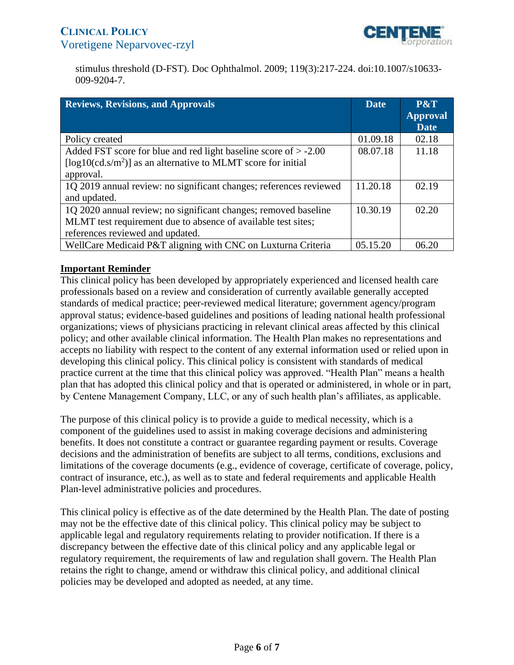

<span id="page-5-0"></span>stimulus threshold (D-FST). Doc Ophthalmol. 2009; 119(3):217-224. doi:10.1007/s10633 009-9204-7.

| <b>Reviews, Revisions, and Approvals</b>                           | <b>Date</b> | P&T                            |
|--------------------------------------------------------------------|-------------|--------------------------------|
|                                                                    |             | <b>Approval</b><br><b>Date</b> |
| Policy created                                                     | 01.09.18    | 02.18                          |
| Added FST score for blue and red light baseline score of $> -2.00$ | 08.07.18    | 11.18                          |
| [ $log10(cd.s/m2)$ ] as an alternative to MLMT score for initial   |             |                                |
| approval.                                                          |             |                                |
| 1Q 2019 annual review: no significant changes; references reviewed | 11.20.18    | 02.19                          |
| and updated.                                                       |             |                                |
| 1Q 2020 annual review; no significant changes; removed baseline    | 10.30.19    | 02.20                          |
| MLMT test requirement due to absence of available test sites;      |             |                                |
| references reviewed and updated.                                   |             |                                |
| WellCare Medicaid P&T aligning with CNC on Luxturna Criteria       | 05.15.20    | 06.20                          |

## **Important Reminder**

This clinical policy has been developed by appropriately experienced and licensed health care professionals based on a review and consideration of currently available generally accepted standards of medical practice; peer-reviewed medical literature; government agency/program approval status; evidence-based guidelines and positions of leading national health professional organizations; views of physicians practicing in relevant clinical areas affected by this clinical policy; and other available clinical information. The Health Plan makes no representations and accepts no liability with respect to the content of any external information used or relied upon in developing this clinical policy. This clinical policy is consistent with standards of medical practice current at the time that this clinical policy was approved. "Health Plan" means a health plan that has adopted this clinical policy and that is operated or administered, in whole or in part, by Centene Management Company, LLC, or any of such health plan's affiliates, as applicable.

The purpose of this clinical policy is to provide a guide to medical necessity, which is a component of the guidelines used to assist in making coverage decisions and administering benefits. It does not constitute a contract or guarantee regarding payment or results. Coverage decisions and the administration of benefits are subject to all terms, conditions, exclusions and limitations of the coverage documents (e.g., evidence of coverage, certificate of coverage, policy, contract of insurance, etc.), as well as to state and federal requirements and applicable Health Plan-level administrative policies and procedures.

This clinical policy is effective as of the date determined by the Health Plan. The date of posting may not be the effective date of this clinical policy. This clinical policy may be subject to applicable legal and regulatory requirements relating to provider notification. If there is a discrepancy between the effective date of this clinical policy and any applicable legal or regulatory requirement, the requirements of law and regulation shall govern. The Health Plan retains the right to change, amend or withdraw this clinical policy, and additional clinical policies may be developed and adopted as needed, at any time.